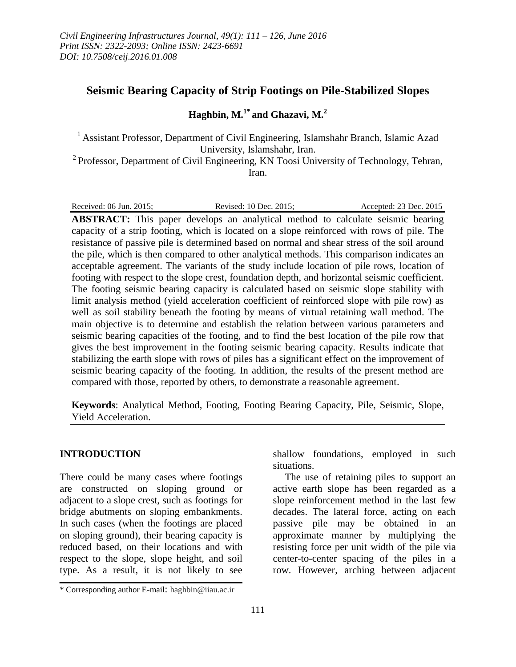# **Seismic Bearing Capacity of Strip Footings on Pile-Stabilized Slopes**

# **Haghbin, M.1\* and Ghazavi, M. 2**

<sup>1</sup> Assistant Professor, Department of Civil Engineering, Islamshahr Branch, Islamic Azad University, Islamshahr, Iran.

<sup>2</sup> Professor, Department of Civil Engineering, KN Toosi University of Technology, Tehran, Iran.

| Accepted: 23 Dec. 2015<br>Revised: 10 Dec. 2015:<br>Received: 06 Jun. 2015: |  |
|-----------------------------------------------------------------------------|--|
|-----------------------------------------------------------------------------|--|

**ABSTRACT:** This paper develops an analytical method to calculate seismic bearing capacity of a strip footing, which is located on a slope reinforced with rows of pile. The resistance of passive pile is determined based on normal and shear stress of the soil around the pile, which is then compared to other analytical methods. This comparison indicates an acceptable agreement. The variants of the study include location of pile rows, location of footing with respect to the slope crest, foundation depth, and horizontal seismic coefficient. The footing seismic bearing capacity is calculated based on seismic slope stability with limit analysis method (yield acceleration coefficient of reinforced slope with pile row) as well as soil stability beneath the footing by means of virtual retaining wall method. The main objective is to determine and establish the relation between various parameters and seismic bearing capacities of the footing, and to find the best location of the pile row that gives the best improvement in the footing seismic bearing capacity. Results indicate that stabilizing the earth slope with rows of piles has a significant effect on the improvement of seismic bearing capacity of the footing. In addition, the results of the present method are compared with those, reported by others, to demonstrate a reasonable agreement.

**Keywords**: Analytical Method, Footing, Footing Bearing Capacity, Pile, Seismic, Slope, Yield Acceleration.

## **INTRODUCTION**

There could be many cases where footings are constructed on sloping ground or adjacent to a slope crest, such as footings for bridge abutments on sloping embankments. In such cases (when the footings are placed on sloping ground), their bearing capacity is reduced based, on their locations and with respect to the slope, slope height, and soil type. As a result, it is not likely to see

shallow foundations, employed in such situations.

The use of retaining piles to support an active earth slope has been regarded as a slope reinforcement method in the last few decades. The lateral force, acting on each passive pile may be obtained in an approximate manner by multiplying the resisting force per unit width of the pile via center-to-center spacing of the piles in a row. However, arching between adjacent

<sup>\*</sup> Corresponding author E-mail: haghbin@iiau.ac.ir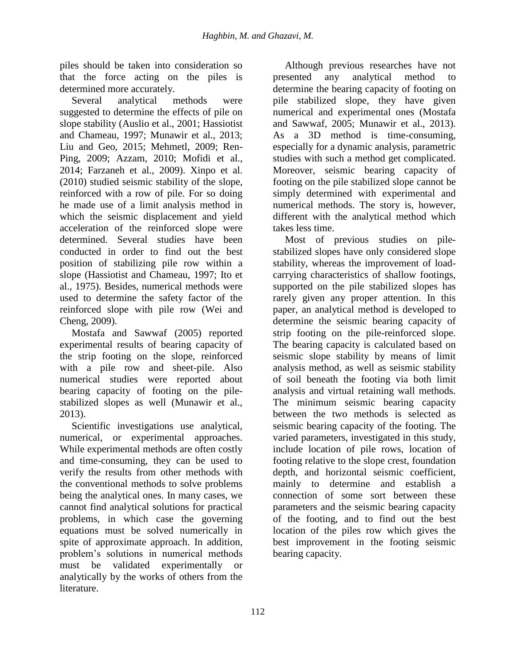piles should be taken into consideration so that the force acting on the piles is determined more accurately.

Several analytical methods were suggested to determine the effects of pile on slope stability (Auslio et al., 2001; Hassiotist and Chameau, 1997; Munawir et al., 2013; Liu and Geo, 2015; Mehmetl, 2009; Ren-Ping, 2009; Azzam, 2010; Mofidi et al., 2014; Farzaneh et al., 2009). Xinpo et al. (2010) studied seismic stability of the slope, reinforced with a row of pile. For so doing he made use of a limit analysis method in which the seismic displacement and yield acceleration of the reinforced slope were determined. Several studies have been conducted in order to find out the best position of stabilizing pile row within a slope (Hassiotist and Chameau, 1997; Ito et al., 1975). Besides, numerical methods were used to determine the safety factor of the reinforced slope with pile row (Wei and Cheng, 2009).

Mostafa and Sawwaf (2005) reported experimental results of bearing capacity of the strip footing on the slope, reinforced with a pile row and sheet-pile. Also numerical studies were reported about bearing capacity of footing on the pilestabilized slopes as well (Munawir et al., 2013).

Scientific investigations use analytical, numerical, or experimental approaches. While experimental methods are often costly and time-consuming, they can be used to verify the results from other methods with the conventional methods to solve problems being the analytical ones. In many cases, we cannot find analytical solutions for practical problems, in which case the governing equations must be solved numerically in spite of approximate approach. In addition, problem's solutions in numerical methods must be validated experimentally or analytically by the works of others from the literature.

Although previous researches have not presented any analytical method to determine the bearing capacity of footing on pile stabilized slope, they have given numerical and experimental ones (Mostafa and Sawwaf, 2005; Munawir et al., 2013). As a 3D method is time-consuming, especially for a dynamic analysis, parametric studies with such a method get complicated. Moreover, seismic bearing capacity of footing on the pile stabilized slope cannot be simply determined with experimental and numerical methods. The story is, however, different with the analytical method which takes less time.

Most of previous studies on pilestabilized slopes have only considered slope stability, whereas the improvement of loadcarrying characteristics of shallow footings, supported on the pile stabilized slopes has rarely given any proper attention. In this paper, an analytical method is developed to determine the seismic bearing capacity of strip footing on the pile-reinforced slope. The bearing capacity is calculated based on seismic slope stability by means of limit analysis method, as well as seismic stability of soil beneath the footing via both limit analysis and virtual retaining wall methods. The minimum seismic bearing capacity between the two methods is selected as seismic bearing capacity of the footing. The varied parameters, investigated in this study, include location of pile rows, location of footing relative to the slope crest, foundation depth, and horizontal seismic coefficient, mainly to determine and establish a connection of some sort between these parameters and the seismic bearing capacity of the footing, and to find out the best location of the piles row which gives the best improvement in the footing seismic bearing capacity.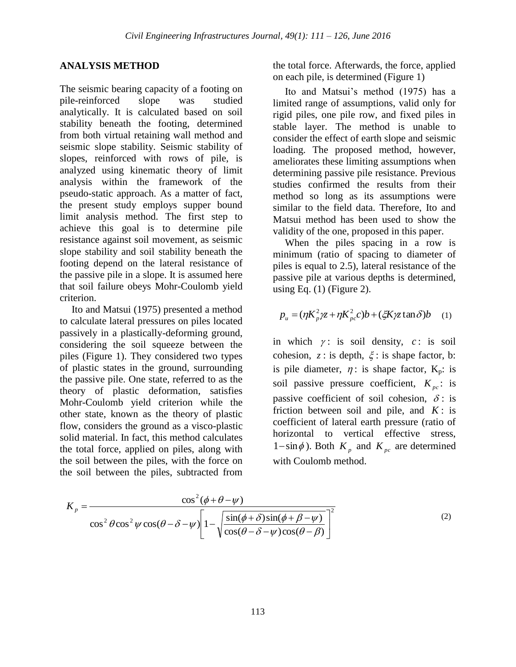## **ANALYSIS METHOD**

The seismic bearing capacity of a footing on pile-reinforced slope was studied analytically. It is calculated based on soil stability beneath the footing, determined from both virtual retaining wall method and seismic slope stability. Seismic stability of slopes, reinforced with rows of pile, is analyzed using kinematic theory of limit analysis within the framework of the pseudo-static approach. As a matter of fact, the present study employs supper bound limit analysis method. The first step to achieve this goal is to determine pile resistance against soil movement, as seismic slope stability and soil stability beneath the footing depend on the lateral resistance of the passive pile in a slope. It is assumed here that soil failure obeys Mohr-Coulomb yield criterion.

Ito and Matsui (1975) presented a method to calculate lateral pressures on piles located passively in a plastically-deforming ground, considering the soil squeeze between the piles (Figure 1). They considered two types of plastic states in the ground, surrounding the passive pile. One state, referred to as the theory of plastic deformation, satisfies Mohr-Coulomb yield criterion while the other state, known as the theory of plastic flow, considers the ground as a visco-plastic solid material. In fact, this method calculates the total force, applied on piles, along with the soil between the piles, with the force on the soil between the piles, subtracted from the total force. Afterwards, the force, applied on each pile, is determined (Figure 1)

Ito and Matsui's method (1975) has a limited range of assumptions, valid only for rigid piles, one pile row, and fixed piles in stable layer. The method is unable to consider the effect of earth slope and seismic loading. The proposed method, however, ameliorates these limiting assumptions when determining passive pile resistance. Previous studies confirmed the results from their method so long as its assumptions were similar to the field data. Therefore, Ito and Matsui method has been used to show the validity of the one, proposed in this paper.

When the piles spacing in a row is minimum (ratio of spacing to diameter of piles is equal to 2.5), lateral resistance of the passive pile at various depths is determined, using Eq.  $(1)$  (Figure 2).

$$
p_u = (\eta K_p^2 \chi + \eta K_{pc}^2 c)b + (\xi K \chi \tan \delta)b \quad (1)
$$

in which  $\gamma$ : is soil density,  $c$ : is soil cohesion,  $z$ : is depth,  $\xi$ : is shape factor, b: is pile diameter,  $\eta$ : is shape factor,  $K_p$ : is soil passive pressure coefficient,  $K_{pc}$ : is passive coefficient of soil cohesion,  $\delta$ : is friction between soil and pile, and  $K$ : is coefficient of lateral earth pressure (ratio of horizontal to vertical effective stress,  $1-\sin\phi$ ). Both  $K_p$  and  $K_{pc}$  are determined with Coulomb method.

$$
K_{p} = \frac{\cos^{2}(\phi + \theta - \psi)}{\cos^{2} \theta \cos^{2} \psi \cos(\theta - \delta - \psi)} \left[ 1 - \sqrt{\frac{\sin(\phi + \delta)\sin(\phi + \beta - \psi)}{\cos(\theta - \delta - \psi)} \cos(\theta - \beta)} \right]^{2}
$$
(2)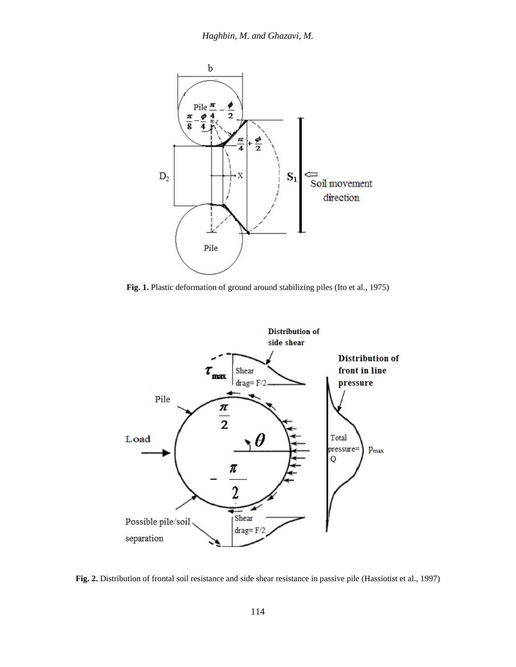

**Fig. 1.** Plastic deformation of ground around stabilizing piles (Ito et al., 1975)



**Fig. 2.** Distribution of frontal soil resistance and side shear resistance in passive pile (Hassiotist et al., 1997)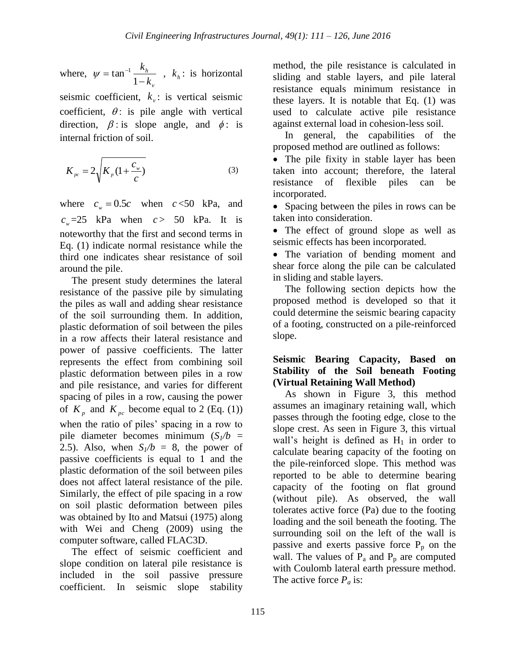where, *v h k k* - $=$  tan<sup> $-$ </sup> 1  $\psi = \tan^{-1} \frac{\kappa_h}{1 - I}$ ,  $k_h$ : is horizontal

seismic coefficient,  $k_v$ : is vertical seismic coefficient,  $\theta$ : is pile angle with vertical direction,  $\beta$ : is slope angle, and  $\phi$ : is internal friction of soil.

$$
K_{pc} = 2\sqrt{K_p (1 + \frac{c_w}{c})}
$$
 (3)

where  $c_w = 0.5c$  when  $c < 50$  kPa, and  $c_w = 25$  kPa when  $c > 50$  kPa. It is noteworthy that the first and second terms in Eq. (1) indicate normal resistance while the third one indicates shear resistance of soil around the pile.

The present study determines the lateral resistance of the passive pile by simulating the piles as wall and adding shear resistance of the soil surrounding them. In addition, plastic deformation of soil between the piles in a row affects their lateral resistance and power of passive coefficients. The latter represents the effect from combining soil plastic deformation between piles in a row and pile resistance, and varies for different spacing of piles in a row, causing the power of  $K_p$  and  $K_{pc}$  become equal to 2 (Eq. (1)) when the ratio of piles' spacing in a row to pile diameter becomes minimum  $(S_1/b)$  = 2.5). Also, when  $S_1/b = 8$ , the power of passive coefficients is equal to 1 and the plastic deformation of the soil between piles does not affect lateral resistance of the pile. Similarly, the effect of pile spacing in a row on soil plastic deformation between piles was obtained by Ito and Matsui (1975) along with Wei and Cheng (2009) using the computer software, called FLAC3D.

The effect of seismic coefficient and slope condition on lateral pile resistance is included in the soil passive pressure coefficient. In seismic slope stability method, the pile resistance is calculated in sliding and stable layers, and pile lateral resistance equals minimum resistance in these layers. It is notable that Eq. (1) was used to calculate active pile resistance against external load in cohesion-less soil.

In general, the capabilities of the proposed method are outlined as follows:

• The pile fixity in stable layer has been taken into account; therefore, the lateral resistance of flexible piles can be incorporated.

• Spacing between the piles in rows can be taken into consideration.

• The effect of ground slope as well as seismic effects has been incorporated.

• The variation of bending moment and shear force along the pile can be calculated in sliding and stable layers.

The following section depicts how the proposed method is developed so that it could determine the seismic bearing capacity of a footing, constructed on a pile-reinforced slope.

## **Seismic Bearing Capacity, Based on Stability of the Soil beneath Footing (Virtual Retaining Wall Method)**

As shown in Figure 3, this method assumes an imaginary retaining wall, which passes through the footing edge, close to the slope crest. As seen in Figure 3, this virtual wall's height is defined as  $H_1$  in order to calculate bearing capacity of the footing on the pile-reinforced slope. This method was reported to be able to determine bearing capacity of the footing on flat ground (without pile). As observed, the wall tolerates active force (Pa) due to the footing loading and the soil beneath the footing. The surrounding soil on the left of the wall is passive and exerts passive force  $P_p$  on the wall. The values of  $P_a$  and  $P_p$  are computed with Coulomb lateral earth pressure method. The active force  $P_a$  is: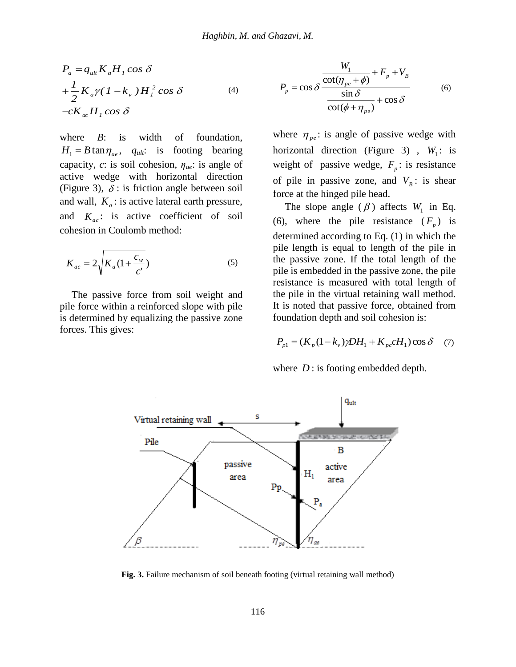Haghbin, M. and Ghazavi,  
\n
$$
P_a = q_{ult} K_a H_1 \cos \delta
$$
\n
$$
+ \frac{1}{2} K_a \gamma (1 - k_v) H_1^2 \cos \delta
$$
\n
$$
-cK_{ac} H_1 \cos \delta
$$
\nwhere B: is width of foundation,  
\n
$$
H_1 = B \tan \eta_{ae}, \quad q_{ult}
$$
: is footing bearing horizon  
\ncapacity, c: is soil cohesion,  $\eta_{ae}$ : is angle of weight

where *B*: is width of foundation,  $H_1 = B \tan \eta_{ae}$ ,  $q_{ult}$ : is footing bearing capacity, *c*: is soil cohesion, *ηae*: is angle of active wedge with horizontal direction (Figure 3),  $\delta$  : is friction angle between soil and wall,  $K_a$ : is active lateral earth pressure, and  $K_{ac}$ : is active coefficient of soil cohesion in Coulomb method:  $q_{u l} K_a H_l \cos \delta$ <br>  $K_a \gamma (1 - k_v) H_l^2 \cos \delta$ <br>  ${}_{a c} H_l \cos \delta$ <br>  ${}_{e} B:$  is width of<br>  $B \tan \eta_{a e}$ ,  $q_{u l}$ ; is footi<br>
ity, c: is soil cohesion,  $\eta_{a e}$ <br>
wedge with horizontare 3),  $\delta$ : is friction angle 1 *P<sub>a</sub>* =  $q_{uh}K_aH_1 \cos \delta$ <br>  $+\frac{1}{2}K_a\gamma(1-k_v)H_1^2 \cos \delta$  (4)<br>  $-cK_{ac}H_1 \cos \delta$  (4)<br>
where *B*: is width of foundation,<br>  $H_1 = B \tan \eta_{ae}$ ,  $q_{uh}$ : is footing bearing<br>
capacity, *c*: is soil cohesion,  $\eta_{ae}$ : is angle of<br>
active *Haghbin, M. and Ghaza*<br>  $I = q_{uh} K_a H_1 \cos \delta$ <br>  $\frac{1}{2} K_a \gamma (1 - k_v) H_1^2 \cos \delta$  (4)  $P_p = K_{\alpha} H_1 \cos \delta$ <br>  $iK_{\alpha} H_1 \cos \delta$ <br>
here *B*: is width of foundation, where<br>  $I = B \tan \eta_{ae}$ ,  $q_{uh}$ : is footing bearing horizonacity, *c*: is soil *Haghbin, 1*<br>  $P_a = q_{uh} K_a H_1 \cos \delta$ <br>  $\frac{1}{2} K_a \gamma (1 - k_v) H_1^2 \cos \delta$  (4)<br>  $cK_{ac} H_1 \cos \delta$ <br>
here *B*: is width of foundation,<br>  $r_1 = B \tan \eta_{ae}$ ,  $q_{ult}$ : is footing bearing<br>
pacity, *c*: is soil cohesion,  $\eta_{ae}$ : is angle of<br>
tive *P<sub>a</sub>* =  $q_{ub}K_aH_1 \cos \delta$ <br>  $\frac{W_1}{2}K_a\gamma(1-k_v)H_1^2 \cos \delta$  (4)  $P_p = \cos \delta \frac{\cot(\eta_{pe} + \phi)}{\cot(\phi + \eta_{pe})} + F_p + V_p$  (6)<br>  $-cK_{\alpha}H_1 \cos \delta$  (8)<br>
where *B*: is width of foundation, where  $\eta_{pe}$ : is angle of passive wedge with<br>  $H_1 = B \tan \eta_{ae}$ 

$$
K_{ac} = 2\sqrt{K_a (1 + \frac{c_w}{c'})}
$$
 (5)

The passive force from soil weight and pile force within a reinforced slope with pile is determined by equalizing the passive zone forces. This gives:

$$
P_p = \cos \delta \frac{\frac{W_1}{\cot(\eta_{pe} + \phi)} + F_p + V_B}{\frac{\sin \delta}{\cot(\phi + \eta_{pe})} + \cos \delta}
$$
(6)

where  $\eta_{pe}$ : is angle of passive wedge with horizontal direction (Figure 3),  $W_1$ : is weight of passive wedge,  $F_p$ : is resistance of pile in passive zone, and  $V_B$ : is shear force at the hinged pile head. *Haghbin, M. and Ghazavi, M.*<br> *n*  $K_aH_1 \cos \delta$ <br>  $\gamma (1 - k_v) H_1^2 \cos \delta$  (4)  $P_p = \cos \delta \frac{\cot(\eta_{pe} + \phi)}{\sin \delta} + F_p + V_B$ <br> *H<sub>1</sub>cos*  $\delta$ <br> *H<sub>1</sub>cos*  $\delta$ <br> *B*: is width of foundation, where  $\eta_{pe}$ : is angle of passive wedge with<br>  $\tan \eta_{$ 

The slope angle  $(\beta)$  affects  $W_1$  in Eq. (6), where the pile resistance  $(F_p)$  is determined according to Eq. (1) in which the pile length is equal to length of the pile in the passive zone. If the total length of the pile is embedded in the passive zone, the pile resistance is measured with total length of the pile in the virtual retaining wall method. It is noted that passive force, obtained from foundation depth and soil cohesion is:

$$
P_{p1} = (K_p(1 - k_v)\gamma D H_1 + K_{pc} c H_1) \cos \delta \quad (7)
$$

where  $D$ : is footing embedded depth.



Fig. 3. Failure mechanism of soil beneath footing (virtual retaining wall method)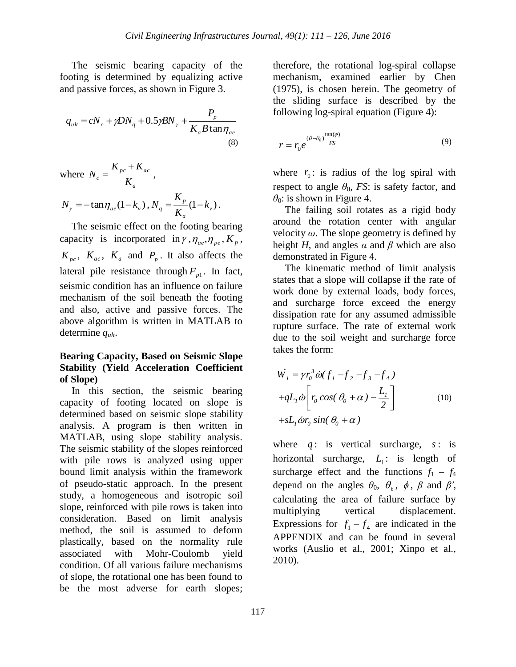The seismic bearing capacity of the footing is determined by equalizing active and passive forces, as shown in Figure 3.

$$
q_{ult} = cN_c + \gamma DN_q + 0.5\gamma BN_\gamma + \frac{P_p}{K_a B \tan \eta_{ae}}
$$
\n(8)

where 
$$
N_c = \frac{K_{pc} + K_{ac}}{K_a}
$$
,  
\n $N_{\gamma} = -\tan \eta_{ae} (1 - k_{\nu})$ ,  $N_q = \frac{K_p}{K_a} (1 - k_{\nu})$ .

The seismic effect on the footing bearing capacity is incorporated in  $\gamma$ ,  $\eta_{ae}$ ,  $\eta_{pe}$ ,  $K_p$ ,  $K_{pc}$ ,  $K_{ac}$ ,  $K_a$  and  $P_p$ . It also affects the lateral pile resistance through  $F_{p1}$ . In fact, seismic condition has an influence on failure mechanism of the soil beneath the footing and also, active and passive forces. The above algorithm is written in MATLAB to determine *qult*.

## **Bearing Capacity, Based on Seismic Slope Stability (Yield Acceleration Coefficient of Slope)**

In this section, the seismic bearing capacity of footing located on slope is determined based on seismic slope stability analysis. A program is then written in MATLAB, using slope stability analysis. The seismic stability of the slopes reinforced with pile rows is analyzed using upper bound limit analysis within the framework of pseudo-static approach. In the present study, a homogeneous and isotropic soil slope, reinforced with pile rows is taken into consideration. Based on limit analysis method, the soil is assumed to deform plastically, based on the normality rule associated with Mohr-Coulomb yield condition. Of all various failure mechanisms of slope, the rotational one has been found to be the most adverse for earth slopes;

therefore, the rotational log-spiral collapse mechanism, examined earlier by Chen (1975), is chosen herein. The geometry of the sliding surface is described by the following log-spiral equation (Figure 4):

$$
r = r_0 e^{(\theta - \theta_0) \frac{\tan(\phi)}{FS}}
$$
 (9)

where  $r_0$ : is radius of the log spiral with respect to angle  $\theta_0$ , *FS*: is safety factor, and  $\theta_0$ : is shown in Figure 4.

The failing soil rotates as a rigid body around the rotation center with angular velocity *ω*. The slope geometry is defined by height *H*, and angles  $\alpha$  and  $\beta$  which are also demonstrated in Figure 4.

The kinematic method of limit analysis states that a slope will collapse if the rate of work done by external loads, body forces, and surcharge force exceed the energy dissipation rate for any assumed admissible rupture surface. The rate of external work due to the soil weight and surcharge force takes the form:

$$
\dot{W}_1 = \gamma r_0^3 \dot{\omega} (f_1 - f_2 - f_3 - f_4)
$$
  
+ $qL_1 \dot{\omega} \left[ r_0 \cos(\theta_0 + \alpha) - \frac{L_1}{2} \right]$  (10)  
+ $sL_1 \dot{\omega} r_0 \sin(\theta_0 + \alpha)$ 

where  $q$ : is vertical surcharge,  $s$ : is horizontal surcharge,  $L_1$ : is length of surcharge effect and the functions  $f_1 - f_4$ depend on the angles  $\theta_0$ ,  $\theta_0$ ,  $\phi$ ,  $\beta$  and  $\beta'$ , calculating the area of failure surface by multiplying vertical displacement. Expressions for  $f_1 - f_4$  are indicated in the APPENDIX and can be found in several works (Auslio et al., 2001; Xinpo et al., 2010).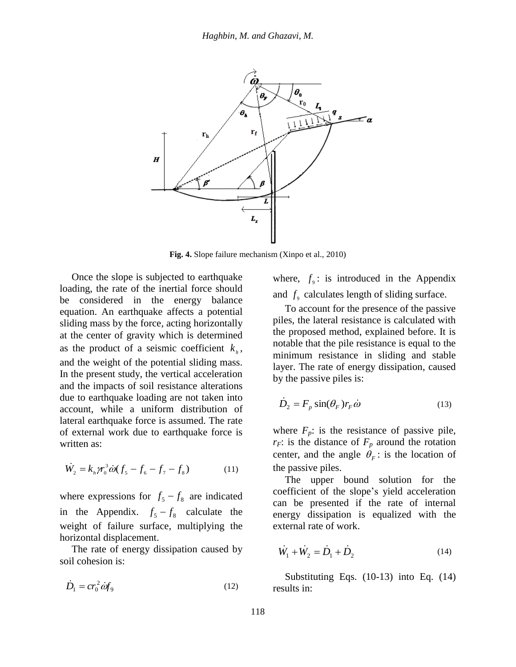

**Fig. 4.** Slope failure mechanism (Xinpo et al., 2010)

Once the slope is subjected to earthquake loading, the rate of the inertial force should be considered in the energy balance equation. An earthquake affects a potential sliding mass by the force, acting horizontally at the center of gravity which is determined as the product of a seismic coefficient  $k<sub>h</sub>$ , and the weight of the potential sliding mass. In the present study, the vertical acceleration and the impacts of soil resistance alterations due to earthquake loading are not taken into account, while a uniform distribution of lateral earthquake force is assumed. The rate of external work due to earthquake force is written as:

$$
\dot{W}_2 = k_h \gamma_0^3 \dot{\omega} (f_5 - f_6 - f_7 - f_8) \tag{11}
$$

where expressions for  $f_5 - f_8$  are indicated in the Appendix.  $f_5 - f_8$  calculate the weight of failure surface, multiplying the horizontal displacement.

The rate of energy dissipation caused by soil cohesion is:

$$
\dot{D}_1 = cr_0^2 \dot{a} f_9 \tag{12}
$$

where,  $f_9$ : is introduced in the Appendix and  $f<sub>9</sub>$  calculates length of sliding surface.

To account for the presence of the passive piles, the lateral resistance is calculated with the proposed method, explained before. It is notable that the pile resistance is equal to the minimum resistance in sliding and stable layer. The rate of energy dissipation, caused by the passive piles is:

$$
\dot{D}_2 = F_p \sin(\theta_F) r_F \dot{\omega}
$$
\n(13)

where  $F_p$ : is the resistance of passive pile,  $r_F$ : is the distance of  $F_p$  around the rotation center, and the angle  $\theta_F$ : is the location of the passive piles.

The upper bound solution for the coefficient of the slope's yield acceleration can be presented if the rate of internal energy dissipation is equalized with the external rate of work.

$$
\dot{W}_1 + \dot{W}_2 = \dot{D}_1 + \dot{D}_2 \tag{14}
$$

Substituting Eqs. (10-13) into Eq. (14) results in: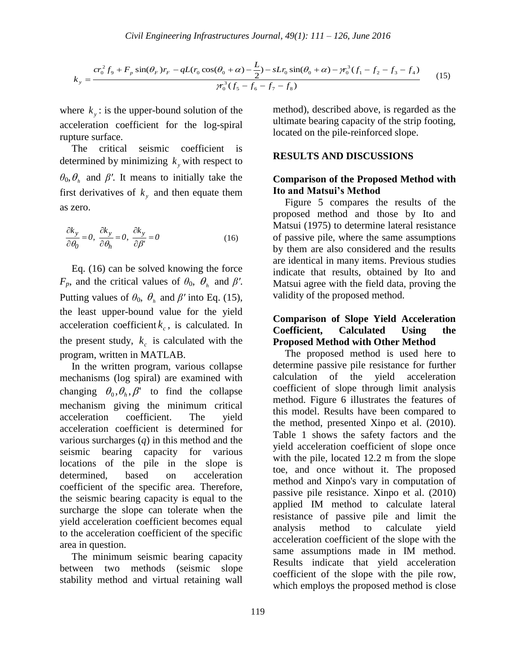$$
k_{y} = \frac{cr_{0}^{2}f_{9} + F_{p}\sin(\theta_{F})r_{F} - qL(r_{0}\cos(\theta_{0} + \alpha) - \frac{L}{2}) - sLr_{0}\sin(\theta_{0} + \alpha) - \gamma_{0}^{3}(f_{1} - f_{2} - f_{3} - f_{4})}{\gamma_{0}^{3}(f_{5} - f_{6} - f_{7} - f_{8})}
$$
(15)

where  $k_y$ : is the upper-bound solution of the acceleration coefficient for the log-spiral rupture surface.

The critical seismic coefficient is determined by minimizing  $k_y$  with respect to  $\theta_0$ ,  $\theta_h$  and  $\beta'$ . It means to initially take the first derivatives of  $k_y$  and then equate them as zero.

$$
\frac{\partial k_y}{\partial \theta_0} = 0, \quad \frac{\partial k_y}{\partial \theta_h} = 0, \quad \frac{\partial k_y}{\partial \beta'} = 0 \tag{16}
$$

Eq. (16) can be solved knowing the force *F*<sub>*p*</sub>, and the critical values of  $\theta_0$ ,  $\theta_h$  and  $\beta'$ . Putting values of  $\theta_0$ ,  $\theta_h$  and  $\beta'$  into Eq. (15), the least upper-bound value for the yield acceleration coefficient  $k_c$ , is calculated. In the present study,  $k_c$  is calculated with the program, written in MATLAB.

In the written program, various collapse mechanisms (log spiral) are examined with changing  $\theta_0$ ,  $\theta_h$ ,  $\beta'$  to find the collapse mechanism giving the minimum critical acceleration coefficient. The yield acceleration coefficient is determined for various surcharges (*q*) in this method and the seismic bearing capacity for various locations of the pile in the slope is determined, based on acceleration coefficient of the specific area. Therefore, the seismic bearing capacity is equal to the surcharge the slope can tolerate when the yield acceleration coefficient becomes equal to the acceleration coefficient of the specific area in question.

The minimum seismic bearing capacity between two methods (seismic slope stability method and virtual retaining wall method), described above, is regarded as the ultimate bearing capacity of the strip footing, located on the pile-reinforced slope.

#### **RESULTS AND DISCUSSIONS**

## **Comparison of the Proposed Method with Ito and Matsui's Method**

Figure 5 compares the results of the proposed method and those by Ito and Matsui (1975) to determine lateral resistance of passive pile, where the same assumptions by them are also considered and the results are identical in many items. Previous studies indicate that results, obtained by Ito and Matsui agree with the field data, proving the validity of the proposed method.

## **Comparison of Slope Yield Acceleration Coefficient, Calculated Using the Proposed Method with Other Method**

The proposed method is used here to determine passive pile resistance for further calculation of the yield acceleration coefficient of slope through limit analysis method. Figure 6 illustrates the features of this model. Results have been compared to the method, presented Xinpo et al. (2010). Table 1 shows the safety factors and the yield acceleration coefficient of slope once with the pile, located 12.2 m from the slope toe, and once without it. The proposed method and Xinpo's vary in computation of passive pile resistance. Xinpo et al. (2010) applied IM method to calculate lateral resistance of passive pile and limit the analysis method to calculate yield acceleration coefficient of the slope with the same assumptions made in IM method. Results indicate that yield acceleration coefficient of the slope with the pile row, which employs the proposed method is close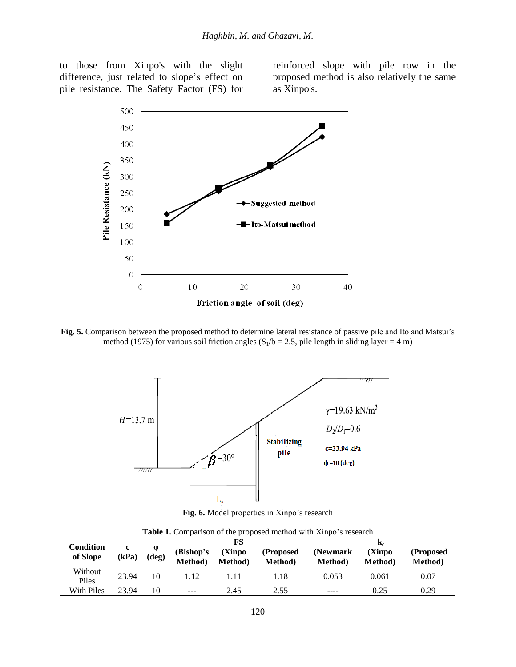to those from Xinpo's with the slight difference, just related to slope's effect on pile resistance. The Safety Factor (FS) for reinforced slope with pile row in the proposed method is also relatively the same as Xinpo's.



**Fig. 5.** Comparison between the proposed method to determine lateral resistance of passive pile and Ito and Matsui's method (1975) for various soil friction angles ( $S_1/b = 2.5$ , pile length in sliding layer = 4 m)



**Fig. 6.** Model properties in Xinpo's research

| Condition<br>of Slope | c<br>(kPa) | $\boldsymbol{\omega}$<br>(deg) |                      |                   |                            | K,                         |                   |                      |
|-----------------------|------------|--------------------------------|----------------------|-------------------|----------------------------|----------------------------|-------------------|----------------------|
|                       |            |                                | (Bishop's<br>Method) | (Xinpo<br>Method) | (Proposed<br><b>Method</b> | (Newmark)<br><b>Method</b> | (Xinpo<br>Method) | (Proposed<br>Method) |
| Without<br>Piles      | 23.94      | 10                             | 1.12                 | 1.11              | 1.18                       | 0.053                      | 0.061             | 0.07                 |
| With Piles            | 23.94      | 10                             | $- - -$              | 2.45              | 2.55                       | ----                       | 0.25              | 0.29                 |

**Table 1.** Comparison of the proposed method with Xinpo's research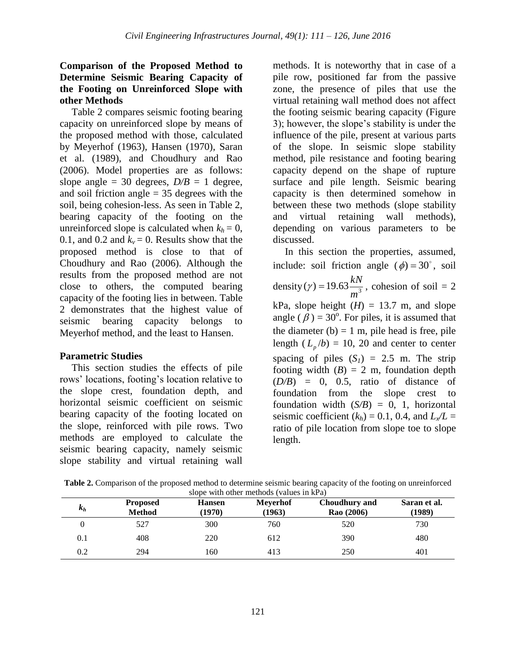## **Comparison of the Proposed Method to Determine Seismic Bearing Capacity of the Footing on Unreinforced Slope with other Methods**

Table 2 compares seismic footing bearing capacity on unreinforced slope by means of the proposed method with those, calculated by Meyerhof (1963), Hansen (1970), Saran et al. (1989), and Choudhury and Rao (2006). Model properties are as follows: slope angle = 30 degrees,  $D/B = 1$  degree, and soil friction angle  $=$  35 degrees with the soil, being cohesion-less. As seen in Table 2, bearing capacity of the footing on the unreinforced slope is calculated when  $k_h = 0$ , 0.1, and 0.2 and  $k_v = 0$ . Results show that the proposed method is close to that of Choudhury and Rao (2006). Although the results from the proposed method are not close to others, the computed bearing capacity of the footing lies in between. Table 2 demonstrates that the highest value of seismic bearing capacity belongs to Meyerhof method, and the least to Hansen.

# **Parametric Studies**

This section studies the effects of pile rows' locations, footing's location relative to the slope crest, foundation depth, and horizontal seismic coefficient on seismic bearing capacity of the footing located on the slope, reinforced with pile rows. Two methods are employed to calculate the seismic bearing capacity, namely seismic slope stability and virtual retaining wall

methods. It is noteworthy that in case of a pile row, positioned far from the passive zone, the presence of piles that use the virtual retaining wall method does not affect the footing seismic bearing capacity (Figure 3); however, the slope's stability is under the influence of the pile, present at various parts of the slope. In seismic slope stability method, pile resistance and footing bearing capacity depend on the shape of rupture surface and pile length. Seismic bearing capacity is then determined somehow in between these two methods (slope stability and virtual retaining wall methods), depending on various parameters to be discussed.

In this section the properties, assumed, include: soil friction angle  $(\phi) = 30^{\circ}$ , soil density  $(\gamma) = 19.63 \frac{\mu V}{m^3}$ *m*  $f(\gamma) = 19.63 \frac{kN}{\lambda}$ , cohesion of soil = 2 kPa, slope height  $(H) = 13.7$  m, and slope angle ( $\beta$ ) = 30<sup>o</sup>. For piles, it is assumed that the diameter  $(b) = 1$  m, pile head is free, pile length  $(L_p/b) = 10$ , 20 and center to center spacing of piles  $(S<sub>I</sub>) = 2.5$  m. The strip footing width  $(B) = 2$  m, foundation depth  $(D/B) = 0$ , 0.5, ratio of distance of foundation from the slope crest to foundation width  $(S/B) = 0$ , 1, horizontal seismic coefficient  $(k_h) = 0.1$ , 0.4, and  $L_x/L =$ ratio of pile location from slope toe to slope length.

| slope with other methods (values in kPa) |                                  |                         |                           |                             |                        |  |  |  |  |  |
|------------------------------------------|----------------------------------|-------------------------|---------------------------|-----------------------------|------------------------|--|--|--|--|--|
| $k_h$                                    | <b>Proposed</b><br><b>Method</b> | <b>Hansen</b><br>(1970) | <b>Meyerhof</b><br>(1963) | Choudhury and<br>Rao (2006) | Saran et al.<br>(1989) |  |  |  |  |  |
|                                          | 527                              | 300                     | 760                       | 520                         | 730                    |  |  |  |  |  |
| 0.1                                      | 408                              | 220                     | 612                       | 390                         | 480                    |  |  |  |  |  |
| 0.2                                      | 294                              | 160                     | 413                       | 250                         | 401                    |  |  |  |  |  |

**Table 2.** Comparison of the proposed method to determine seismic bearing capacity of the footing on unreinforced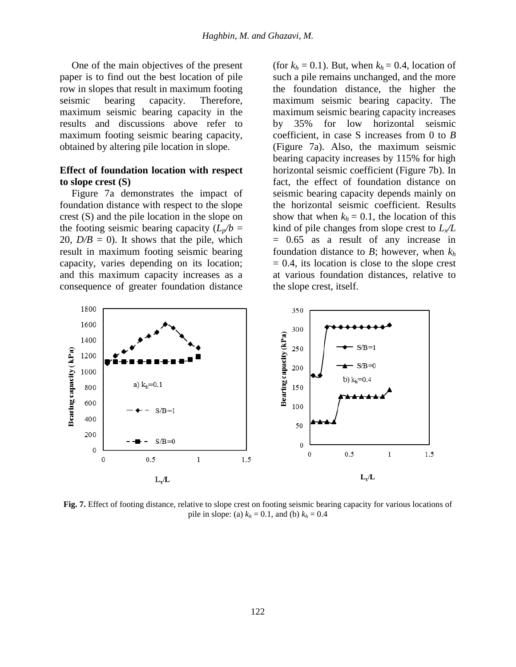One of the main objectives of the present paper is to find out the best location of pile row in slopes that result in maximum footing seismic bearing capacity. Therefore, maximum seismic bearing capacity in the results and discussions above refer to maximum footing seismic bearing capacity, obtained by altering pile location in slope.

### **Effect of foundation location with respect to slope crest (S)**

Figure 7a demonstrates the impact of foundation distance with respect to the slope crest (S) and the pile location in the slope on the footing seismic bearing capacity  $(L_p/b =$ 20,  $D/B = 0$ ). It shows that the pile, which result in maximum footing seismic bearing capacity, varies depending on its location; and this maximum capacity increases as a consequence of greater foundation distance

(for  $k_h = 0.1$ ). But, when  $k_h = 0.4$ , location of such a pile remains unchanged, and the more the foundation distance, the higher the maximum seismic bearing capacity. The maximum seismic bearing capacity increases by 35% for low horizontal seismic coefficient, in case S increases from 0 to *B* (Figure 7a). Also, the maximum seismic bearing capacity increases by 115% for high horizontal seismic coefficient (Figure 7b). In fact, the effect of foundation distance on seismic bearing capacity depends mainly on the horizontal seismic coefficient. Results show that when  $k_h = 0.1$ , the location of this kind of pile changes from slope crest to *Lx/L* = 0.65 as a result of any increase in foundation distance to *B*; however, when *k<sup>h</sup>*  $= 0.4$ , its location is close to the slope crest at various foundation distances, relative to the slope crest, itself.



**Fig. 7.** Effect of footing distance, relative to slope crest on footing seismic bearing capacity for various locations of pile in slope: (a)  $k_h = 0.1$ , and (b)  $k_h = 0.4$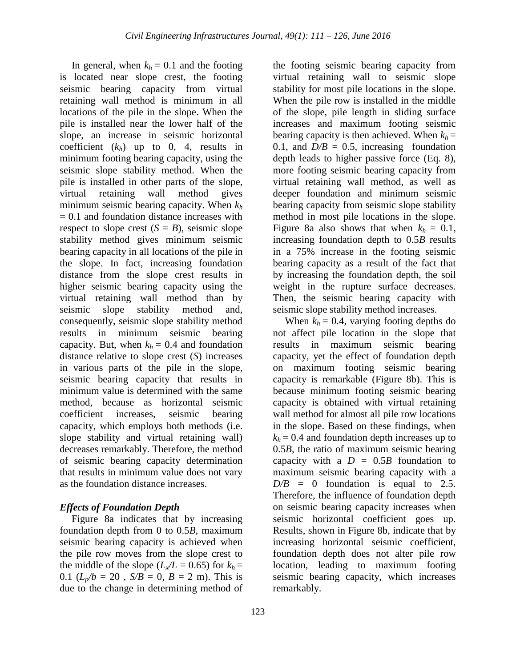In general, when  $k_h = 0.1$  and the footing is located near slope crest, the footing seismic bearing capacity from virtual retaining wall method is minimum in all locations of the pile in the slope. When the pile is installed near the lower half of the slope, an increase in seismic horizontal coefficient  $(k_h)$  up to 0, 4, results in minimum footing bearing capacity, using the seismic slope stability method. When the pile is installed in other parts of the slope, virtual retaining wall method gives minimum seismic bearing capacity. When *k<sup>h</sup>* = 0.1 and foundation distance increases with respect to slope crest  $(S = B)$ , seismic slope stability method gives minimum seismic bearing capacity in all locations of the pile in the slope. In fact, increasing foundation distance from the slope crest results in higher seismic bearing capacity using the virtual retaining wall method than by seismic slope stability method and, consequently, seismic slope stability method results in minimum seismic bearing capacity. But, when  $k_h = 0.4$  and foundation distance relative to slope crest (*S*) increases in various parts of the pile in the slope, seismic bearing capacity that results in minimum value is determined with the same method, because as horizontal seismic coefficient increases, seismic bearing capacity, which employs both methods (i.e. slope stability and virtual retaining wall) decreases remarkably. Therefore, the method of seismic bearing capacity determination that results in minimum value does not vary as the foundation distance increases.

## *Effects of Foundation Depth*

Figure 8a indicates that by increasing foundation depth from 0 to 0.5*B*, maximum seismic bearing capacity is achieved when the pile row moves from the slope crest to the middle of the slope ( $L_x/L = 0.65$ ) for  $k_h =$ 0.1 ( $L_p/b = 20$ ,  $S/B = 0$ ,  $B = 2$  m). This is due to the change in determining method of

the footing seismic bearing capacity from virtual retaining wall to seismic slope stability for most pile locations in the slope. When the pile row is installed in the middle of the slope, pile length in sliding surface increases and maximum footing seismic bearing capacity is then achieved. When  $k_h$  = 0.1, and  $D/B = 0.5$ , increasing foundation depth leads to higher passive force (Eq. 8), more footing seismic bearing capacity from virtual retaining wall method, as well as deeper foundation and minimum seismic bearing capacity from seismic slope stability method in most pile locations in the slope. Figure 8a also shows that when  $k_h = 0.1$ , increasing foundation depth to 0.5*B* results in a 75% increase in the footing seismic bearing capacity as a result of the fact that by increasing the foundation depth, the soil weight in the rupture surface decreases. Then, the seismic bearing capacity with seismic slope stability method increases.

When  $k_h = 0.4$ , varying footing depths do not affect pile location in the slope that results in maximum seismic bearing capacity, yet the effect of foundation depth on maximum footing seismic bearing capacity is remarkable (Figure 8b). This is because minimum footing seismic bearing capacity is obtained with virtual retaining wall method for almost all pile row locations in the slope. Based on these findings, when  $k_h$  = 0.4 and foundation depth increases up to 0.5*B*, the ratio of maximum seismic bearing capacity with a  $D = 0.5B$  foundation to maximum seismic bearing capacity with a  $D/B = 0$  foundation is equal to 2.5. Therefore, the influence of foundation depth on seismic bearing capacity increases when seismic horizontal coefficient goes up. Results, shown in Figure 8b, indicate that by increasing horizontal seismic coefficient, foundation depth does not alter pile row location, leading to maximum footing seismic bearing capacity, which increases remarkably.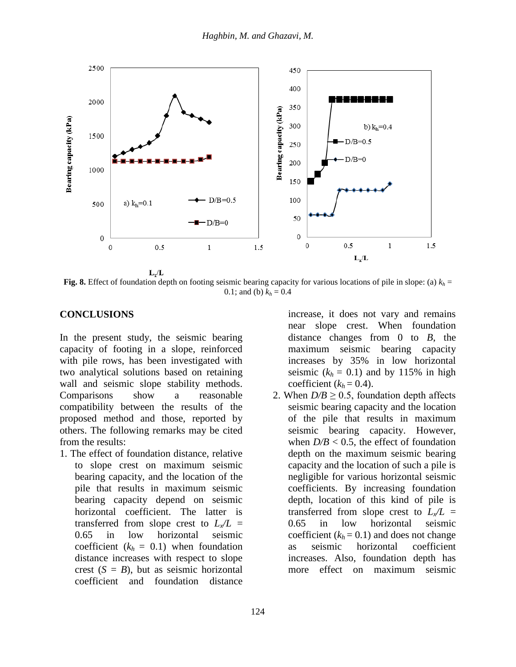

**Fig. 8.** Effect of foundation depth on footing seismic bearing capacity for various locations of pile in slope: (a)  $k_h$  = 0.1; and (b)  $k_h = 0.4$ 

### **CONCLUSIONS**

In the present study, the seismic bearing capacity of footing in a slope, reinforced with pile rows, has been investigated with two analytical solutions based on retaining wall and seismic slope stability methods. Comparisons show a reasonable compatibility between the results of the proposed method and those, reported by others. The following remarks may be cited from the results:

1. The effect of foundation distance, relative to slope crest on maximum seismic bearing capacity, and the location of the pile that results in maximum seismic bearing capacity depend on seismic horizontal coefficient. The latter is transferred from slope crest to  $L_x/L =$ 0.65 in low horizontal seismic coefficient  $(k_h = 0.1)$  when foundation distance increases with respect to slope crest  $(S = B)$ , but as seismic horizontal coefficient and foundation distance

increase, it does not vary and remains near slope crest. When foundation distance changes from 0 to *B*, the maximum seismic bearing capacity increases by 35% in low horizontal seismic  $(k_h = 0.1)$  and by 115% in high coefficient  $(k_h = 0.4)$ .

2. When  $D/B \ge 0.5$ , foundation depth affects seismic bearing capacity and the location of the pile that results in maximum seismic bearing capacity. However, when  $D/B < 0.5$ , the effect of foundation depth on the maximum seismic bearing capacity and the location of such a pile is negligible for various horizontal seismic coefficients. By increasing foundation depth, location of this kind of pile is transferred from slope crest to  $L_x/L =$ 0.65 in low horizontal seismic coefficient  $(k_h = 0.1)$  and does not change as seismic horizontal coefficient increases. Also, foundation depth has more effect on maximum seismic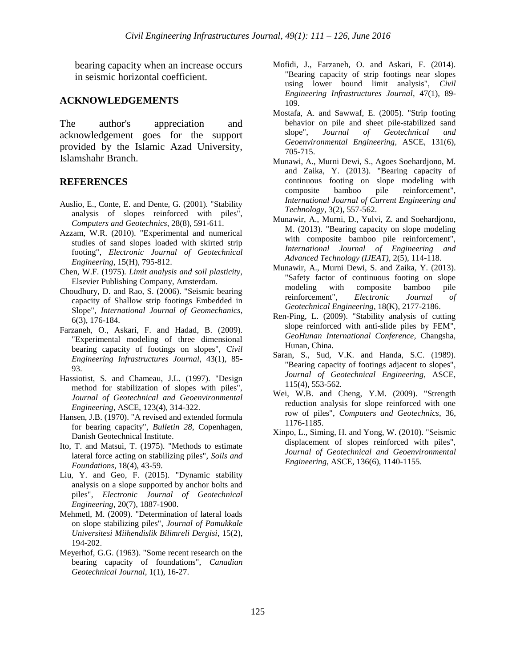bearing capacity when an increase occurs in seismic horizontal coefficient.

#### **ACKNOWLEDGEMENTS**

The author's appreciation and acknowledgement goes for the support provided by the Islamic Azad University, Islamshahr Branch.

#### **REFERENCES**

- Auslio, E., Conte, E. and Dente, G. (2001). "Stability analysis of slopes reinforced with piles", *Computers and Geotechnics*, 28(8), 591-611.
- Azzam, W.R. (2010). "Experimental and numerical studies of sand slopes loaded with skirted strip footing", *Electronic Journal of Geotechnical Engineering*, 15(H), 795-812.
- Chen, W.F. (1975). *Limit analysis and soil plasticity*, Elsevier Publishing Company, Amsterdam.
- Choudhury, D. and Rao, S. (2006). "Seismic bearing capacity of Shallow strip footings Embedded in Slope", *International Journal of Geomechanics*, 6(3), 176-184.
- Farzaneh, O., Askari, F. and Hadad, B. (2009). "Experimental modeling of three dimensional bearing capacity of footings on slopes", *Civil Engineering Infrastructures Journal*, 43(1), 85- 93.
- Hassiotist, S. and Chameau, J.L. (1997). "Design method for stabilization of slopes with piles", *Journal of Geotechnical and Geoenvironmental Engineering*, ASCE, 123(4), 314-322.
- Hansen, J.B. (1970). "A revised and extended formula for bearing capacity", *Bulletin 28*, Copenhagen, Danish Geotechnical Institute.
- Ito, T. and Matsui, T. (1975). "Methods to estimate lateral force acting on stabilizing piles", *Soils and Foundations*, 18(4), 43-59.
- Liu, Y. and Geo, F. (2015). "Dynamic stability analysis on a slope supported by anchor bolts and piles", *Electronic Journal of Geotechnical Engineering*, 20(7), 1887-1900.
- Mehmetl, M. (2009). "Determination of lateral loads on slope stabilizing piles", *Journal of Pamukkale Universitesi Miihendislik Bilimreli Dergisi*, 15(2), 194-202.
- Meyerhof, G.G. (1963). "Some recent research on the bearing capacity of foundations", *Canadian Geotechnical Journal*, 1(1), 16-27.
- Mofidi, J., Farzaneh, O. and Askari, F. (2014). "Bearing capacity of strip footings near slopes using lower bound limit analysis", *Civil Engineering Infrastructures Journal*, 47(1), 89- 109.
- Mostafa, A. and Sawwaf, E. (2005). "Strip footing behavior on pile and sheet pile-stabilized sand slope", *Journal of Geotechnical and Geoenvironmental Engineering*, ASCE, 131(6), 705-715.
- Munawi, A., Murni Dewi, S., Agoes Soehardjono, M. and Zaika, Y. (2013). "Bearing capacity of continuous footing on slope modeling with composite bamboo pile reinforcement", *International Journal of Current Engineering and Technology*, 3(2), 557-562.
- Munawir, A., Murni, D., Yulvi, Z. and Soehardjono, M. (2013). "Bearing capacity on slope modeling with composite bamboo pile reinforcement", *International Journal of Engineering and Advanced Technology (IJEAT)*, 2(5), 114-118.
- Munawir, A., Murni Dewi, S. and Zaika, Y. (2013). "Safety factor of continuous footing on slope modeling with composite bamboo pile reinforcement", *Electronic Journal of Geotechnical Engineering*, 18(K), 2177-2186.
- Ren-Ping, L. (2009). "Stability analysis of cutting slope reinforced with anti-slide piles by FEM", *GeoHunan International Conference*, Changsha, Hunan, China.
- Saran, S., Sud, V.K. and Handa, S.C. (1989). "Bearing capacity of footings adjacent to slopes", *Journal of Geotechnical Engineering*, ASCE, 115(4), 553-562.
- Wei, W.B. and Cheng, Y.M. (2009). "Strength reduction analysis for slope reinforced with one row of piles", *Computers and Geotechnics*, 36, 1176-1185.
- Xinpo, L., Siming, H. and Yong, W. (2010). "Seismic displacement of slopes reinforced with piles", *Journal of Geotechnical and Geoenvironmental Engineering*, ASCE, 136(6), 1140-1155.